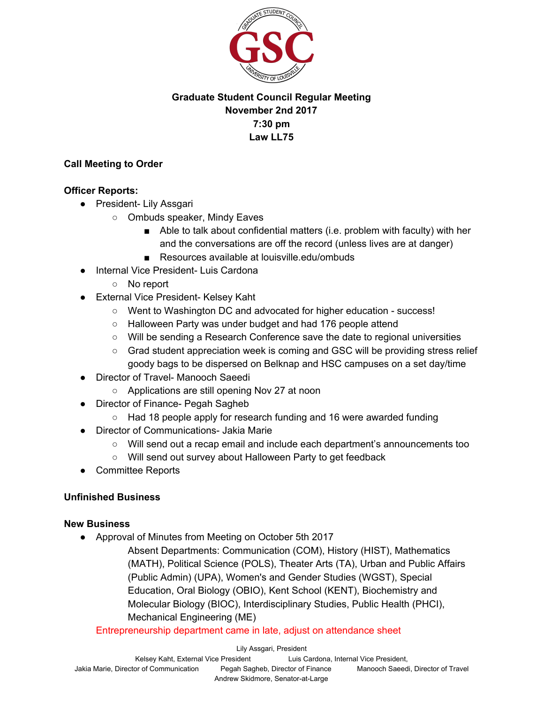

# **Graduate Student Council Regular Meeting November 2nd 2017 7:30 pm Law LL75**

#### **Call Meeting to Order**

#### **Officer Reports:**

- President- Lily Assgari
	- Ombuds speaker, Mindy Eaves
		- Able to talk about confidential matters (i.e. problem with faculty) with her and the conversations are off the record (unless lives are at danger)
		- Resources available at louisville.edu/ombuds
- Internal Vice President- Luis Cardona
	- No report
- External Vice President- Kelsey Kaht
	- Went to Washington DC and advocated for higher education success!
	- Halloween Party was under budget and had 176 people attend
	- Will be sending a Research Conference save the date to regional universities
	- Grad student appreciation week is coming and GSC will be providing stress relief goody bags to be dispersed on Belknap and HSC campuses on a set day/time
- **Director of Travel- Manooch Saeedi** 
	- Applications are still opening Nov 27 at noon
- **Director of Finance- Pegah Sagheb** 
	- Had 18 people apply for research funding and 16 were awarded funding
- Director of Communications- Jakia Marie
	- Will send out a recap email and include each department's announcements too
	- Will send out survey about Halloween Party to get feedback
- Committee Reports

## **Unfinished Business**

## **New Business**

● Approval of Minutes from Meeting on October 5th 2017

Absent Departments: Communication (COM), History (HIST), Mathematics (MATH), Political Science (POLS), Theater Arts (TA), Urban and Public Affairs (Public Admin) (UPA), Women's and Gender Studies (WGST), Special Education, Oral Biology (OBIO), Kent School (KENT), Biochemistry and Molecular Biology (BIOC), Interdisciplinary Studies, Public Health (PHCI), Mechanical Engineering (ME)

#### Entrepreneurship department came in late, adjust on attendance sheet